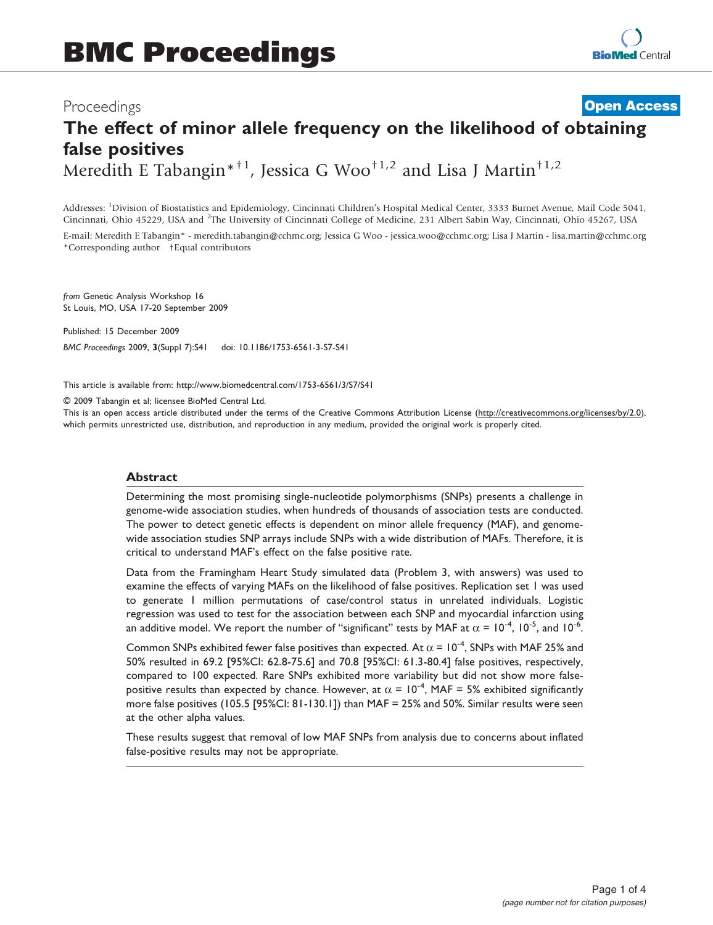# Proceedings The effect of minor allele frequency on the likelihood of obtaining false positives Meredith E Tabangin<sup>\*†1</sup>, Jessica G Woo<sup>†1,2</sup> and Lisa J Martin<sup>†1,2</sup> **[Open Access](http://www.biomedcentral.com/info/about/charter/)**

Addresses: <sup>1</sup> Division of Biostatistics and Epidemiology, Cincinnati Children's Hospital Medical Center, 3333 Burnet Avenue, Mail Code 5041, Cincinnati, Ohio 45229, USA and <sup>2</sup>The University of Cincinnati College of Medicine, 231 Albert Sabin Way, Cincinnati, Ohio 45267, USA

E-mail: Meredith E Tabangin\* - [meredith.tabangin@cchmc.org;](mailto:meredith.tabangin@cchmc.org) Jessica G Woo - [jessica.woo@cchmc.org;](mailto:jessica.woo@cchmc.org) Lisa J Martin - [lisa.martin@cchmc.org](mailto:lisa.martin@cchmc.org) \*Corresponding author †Equal contributors

from Genetic Analysis Workshop 16 St Louis, MO, USA 17-20 September 2009

Published: 15 December 2009 BMC Proceedings 2009, 3(Suppl 7):S41 doi: 10.1186/1753-6561-3-S7-S41

This article is available from: http://www.biomedcentral.com/1753-6561/3/S7/S41

© 2009 Tabangin et al; licensee BioMed Central Ltd.

This is an open access article distributed under the terms of the Creative Commons Attribution License [\(http://creativecommons.org/licenses/by/2.0\)](http://creativecommons.org/licenses/by/2.0), which permits unrestricted use, distribution, and reproduction in any medium, provided the original work is properly cited.

# Abstract

Determining the most promising single-nucleotide polymorphisms (SNPs) presents a challenge in genome-wide association studies, when hundreds of thousands of association tests are conducted. The power to detect genetic effects is dependent on minor allele frequency (MAF), and genomewide association studies SNP arrays include SNPs with a wide distribution of MAFs. Therefore, it is critical to understand MAF's effect on the false positive rate.

Data from the Framingham Heart Study simulated data (Problem 3, with answers) was used to examine the effects of varying MAFs on the likelihood of false positives. Replication set 1 was used to generate 1 million permutations of case/control status in unrelated individuals. Logistic regression was used to test for the association between each SNP and myocardial infarction using an additive model. We report the number of "significant" tests by MAF at  $\alpha = 10^{-4}$ , 10<sup>-5</sup>, and 10<sup>-6</sup>.

Common SNPs exhibited fewer false positives than expected. At  $\alpha = 10^{-4}$ , SNPs with MAF 25% and 50% resulted in 69.2 [95%CI: 62.8-75.6] and 70.8 [95%CI: 61.3-80.4] false positives, respectively, compared to 100 expected. Rare SNPs exhibited more variability but did not show more falsepositive results than expected by chance. However, at  $\alpha = 10^{-4}$ , MAF = 5% exhibited significantly more false positives (105.5 [95%CI: 81-130.1]) than MAF = 25% and 50%. Similar results were seen at the other alpha values.

These results suggest that removal of low MAF SNPs from analysis due to concerns about inflated false-positive results may not be appropriate.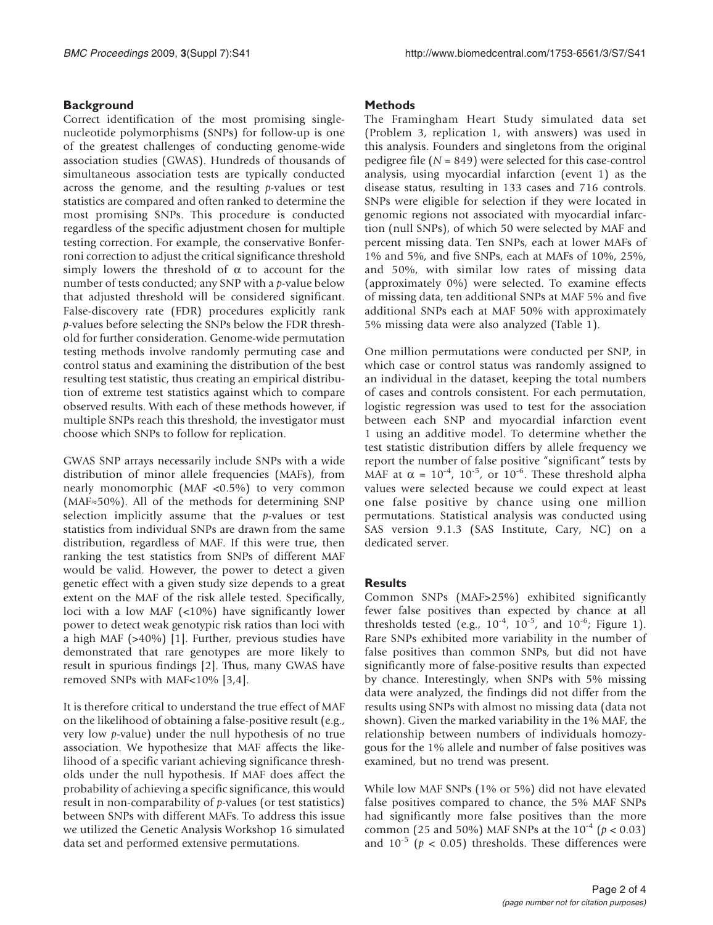# **Background**

Correct identification of the most promising singlenucleotide polymorphisms (SNPs) for follow-up is one of the greatest challenges of conducting genome-wide association studies (GWAS). Hundreds of thousands of simultaneous association tests are typically conducted across the genome, and the resulting  $p$ -values or test statistics are compared and often ranked to determine the most promising SNPs. This procedure is conducted regardless of the specific adjustment chosen for multiple testing correction. For example, the conservative Bonferroni correction to adjust the critical significance threshold simply lowers the threshold of  $\alpha$  to account for the number of tests conducted; any SNP with a p-value below that adjusted threshold will be considered significant. False-discovery rate (FDR) procedures explicitly rank p-values before selecting the SNPs below the FDR threshold for further consideration. Genome-wide permutation testing methods involve randomly permuting case and control status and examining the distribution of the best resulting test statistic, thus creating an empirical distribution of extreme test statistics against which to compare observed results. With each of these methods however, if multiple SNPs reach this threshold, the investigator must choose which SNPs to follow for replication.

GWAS SNP arrays necessarily include SNPs with a wide distribution of minor allele frequencies (MAFs), from nearly monomorphic (MAF <0.5%) to very common (MAF≈50%). All of the methods for determining SNP selection implicitly assume that the  $p$ -values or test statistics from individual SNPs are drawn from the same distribution, regardless of MAF. If this were true, then ranking the test statistics from SNPs of different MAF would be valid. However, the power to detect a given genetic effect with a given study size depends to a great extent on the MAF of the risk allele tested. Specifically, loci with a low MAF (<10%) have significantly lower power to detect weak genotypic risk ratios than loci with a high MAF (>40%) [\[1](#page-3-0)]. Further, previous studies have demonstrated that rare genotypes are more likely to result in spurious findings [\[2\]](#page-3-0). Thus, many GWAS have removed SNPs with MAF<10% [[3](#page-3-0),[4](#page-3-0)].

It is therefore critical to understand the true effect of MAF on the likelihood of obtaining a false-positive result (e.g., very low p-value) under the null hypothesis of no true association. We hypothesize that MAF affects the likelihood of a specific variant achieving significance thresholds under the null hypothesis. If MAF does affect the probability of achieving a specific significance, this would result in non-comparability of  $p$ -values (or test statistics) between SNPs with different MAFs. To address this issue we utilized the Genetic Analysis Workshop 16 simulated data set and performed extensive permutations.

# Methods

The Framingham Heart Study simulated data set (Problem 3, replication 1, with answers) was used in this analysis. Founders and singletons from the original pedigree file  $(N = 849)$  were selected for this case-control analysis, using myocardial infarction (event 1) as the disease status, resulting in 133 cases and 716 controls. SNPs were eligible for selection if they were located in genomic regions not associated with myocardial infarction (null SNPs), of which 50 were selected by MAF and percent missing data. Ten SNPs, each at lower MAFs of 1% and 5%, and five SNPs, each at MAFs of 10%, 25%, and 50%, with similar low rates of missing data (approximately 0%) were selected. To examine effects of missing data, ten additional SNPs at MAF 5% and five additional SNPs each at MAF 50% with approximately 5% missing data were also analyzed [\(Table 1](#page-2-0)).

One million permutations were conducted per SNP, in which case or control status was randomly assigned to an individual in the dataset, keeping the total numbers of cases and controls consistent. For each permutation, logistic regression was used to test for the association between each SNP and myocardial infarction event 1 using an additive model. To determine whether the test statistic distribution differs by allele frequency we report the number of false positive "significant" tests by MAF at  $\alpha = 10^{-4}$ ,  $10^{-5}$ , or  $10^{-6}$ . These threshold alpha values were selected because we could expect at least one false positive by chance using one million permutations. Statistical analysis was conducted using SAS version 9.1.3 (SAS Institute, Cary, NC) on a dedicated server.

# **Results**

Common SNPs (MAF>25%) exhibited significantly fewer false positives than expected by chance at all thresholds tested (e.g.,  $10^{-4}$ ,  $10^{-5}$ , and  $10^{-6}$ ; [Figure 1\)](#page-3-0). Rare SNPs exhibited more variability in the number of false positives than common SNPs, but did not have significantly more of false-positive results than expected by chance. Interestingly, when SNPs with 5% missing data were analyzed, the findings did not differ from the results using SNPs with almost no missing data (data not shown). Given the marked variability in the 1% MAF, the relationship between numbers of individuals homozygous for the 1% allele and number of false positives was examined, but no trend was present.

While low MAF SNPs (1% or 5%) did not have elevated false positives compared to chance, the 5% MAF SNPs had significantly more false positives than the more common (25 and 50%) MAF SNPs at the  $10^{-4}$  ( $p < 0.03$ ) and  $10^{-5}$  ( $p < 0.05$ ) thresholds. These differences were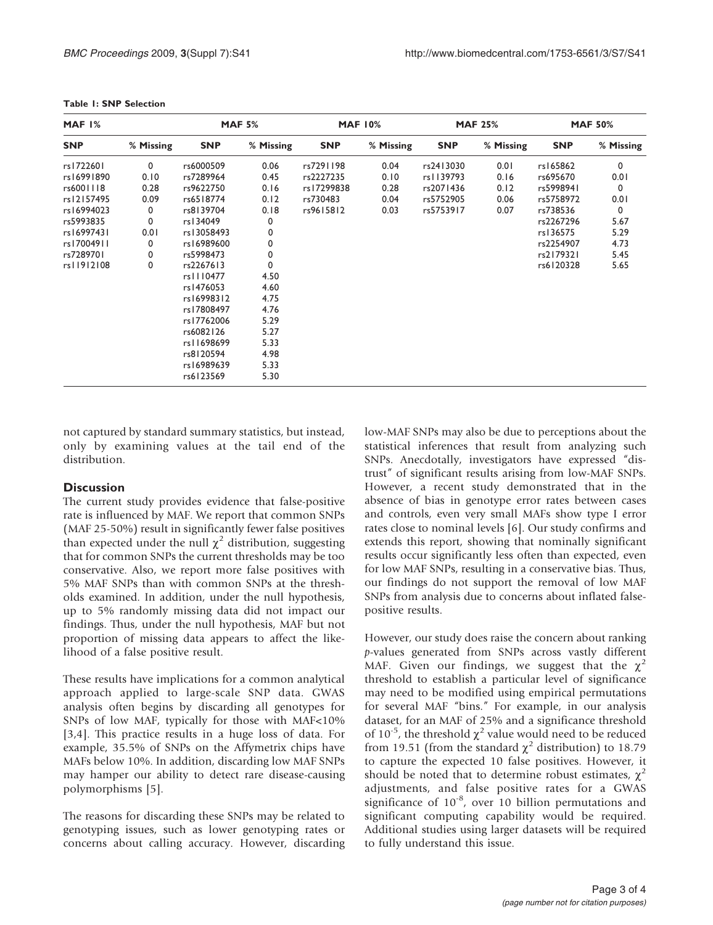| MAF <sub>1%</sub> |           |               | <b>MAF 5%</b> | <b>MAF 10%</b> |           | <b>MAF 25%</b> |           | <b>MAF 50%</b> |           |
|-------------------|-----------|---------------|---------------|----------------|-----------|----------------|-----------|----------------|-----------|
| <b>SNP</b>        | % Missing | <b>SNP</b>    | % Missing     | <b>SNP</b>     | % Missing | <b>SNP</b>     | % Missing | <b>SNP</b>     | % Missing |
| rs1722601         | 0         | rs6000509     | 0.06          | rs7291198      | 0.04      | rs2413030      | 0.01      | rs165862       | 0         |
| rs16991890        | 0.10      | rs7289964     | 0.45          | rs2227235      | 0.10      | rs   139793    | 0.16      | rs695670       | 0.01      |
| rs6001118         | 0.28      | rs9622750     | 0.16          | rs17299838     | 0.28      | rs2071436      | 0.12      | rs5998941      | 0         |
| rs12157495        | 0.09      | rs6518774     | 0.12          | rs730483       | 0.04      | rs5752905      | 0.06      | rs5758972      | 0.01      |
| rs16994023        | 0         | rs8139704     | 0.18          | rs9615812      | 0.03      | rs5753917      | 0.07      | rs738536       | 0         |
| rs5993835         | 0         | rs134049      | 0             |                |           |                |           | rs2267296      | 5.67      |
| rs16997431        | 0.01      | rs13058493    | 0             |                |           |                |           | rs136575       | 5.29      |
| rs17004911        | 0         | rs16989600    | 0             |                |           |                |           | rs2254907      | 4.73      |
| rs7289701         | 0         | rs5998473     | 0             |                |           |                |           | rs2179321      | 5.45      |
| rs11912108        | 0         | rs2267613     | 0             |                |           |                |           | rs6120328      | 5.65      |
|                   |           | rs       0477 | 4.50          |                |           |                |           |                |           |
|                   |           | rs1476053     | 4.60          |                |           |                |           |                |           |
|                   |           | rs16998312    | 4.75          |                |           |                |           |                |           |
|                   |           | rs17808497    | 4.76          |                |           |                |           |                |           |
|                   |           | rs17762006    | 5.29          |                |           |                |           |                |           |
|                   |           | rs6082126     | 5.27          |                |           |                |           |                |           |
|                   |           | rs11698699    | 5.33          |                |           |                |           |                |           |
|                   |           | rs8120594     | 4.98          |                |           |                |           |                |           |
|                   |           | rs16989639    | 5.33          |                |           |                |           |                |           |
|                   |           | rs6123569     | 5.30          |                |           |                |           |                |           |

<span id="page-2-0"></span>

not captured by standard summary statistics, but instead, only by examining values at the tail end of the distribution.

# **Discussion**

The current study provides evidence that false-positive rate is influenced by MAF. We report that common SNPs (MAF 25-50%) result in significantly fewer false positives than expected under the null  $\chi^2$  distribution, suggesting that for common SNPs the current thresholds may be too conservative. Also, we report more false positives with 5% MAF SNPs than with common SNPs at the thresholds examined. In addition, under the null hypothesis, up to 5% randomly missing data did not impact our findings. Thus, under the null hypothesis, MAF but not proportion of missing data appears to affect the likelihood of a false positive result.

These results have implications for a common analytical approach applied to large-scale SNP data. GWAS analysis often begins by discarding all genotypes for SNPs of low MAF, typically for those with MAF<10% [[3](#page-3-0),[4](#page-3-0)]. This practice results in a huge loss of data. For example, 35.5% of SNPs on the Affymetrix chips have MAFs below 10%. In addition, discarding low MAF SNPs may hamper our ability to detect rare disease-causing polymorphisms [[5\]](#page-3-0).

The reasons for discarding these SNPs may be related to genotyping issues, such as lower genotyping rates or concerns about calling accuracy. However, discarding low-MAF SNPs may also be due to perceptions about the statistical inferences that result from analyzing such SNPs. Anecdotally, investigators have expressed "distrust" of significant results arising from low-MAF SNPs. However, a recent study demonstrated that in the absence of bias in genotype error rates between cases and controls, even very small MAFs show type I error rates close to nominal levels [[6](#page-3-0)]. Our study confirms and extends this report, showing that nominally significant results occur significantly less often than expected, even for low MAF SNPs, resulting in a conservative bias. Thus, our findings do not support the removal of low MAF SNPs from analysis due to concerns about inflated falsepositive results.

However, our study does raise the concern about ranking p-values generated from SNPs across vastly different MAF. Given our findings, we suggest that the  $\chi^2$ threshold to establish a particular level of significance may need to be modified using empirical permutations for several MAF "bins." For example, in our analysis dataset, for an MAF of 25% and a significance threshold of  $10^{-5}$ , the threshold  $\chi^2$  value would need to be reduced from 19.51 (from the standard  $\chi^2$  distribution) to 18.79 to capture the expected 10 false positives. However, it should be noted that to determine robust estimates,  $\chi^2$ adjustments, and false positive rates for a GWAS significance of  $10^{-8}$ , over 10 billion permutations and significant computing capability would be required. Additional studies using larger datasets will be required to fully understand this issue.